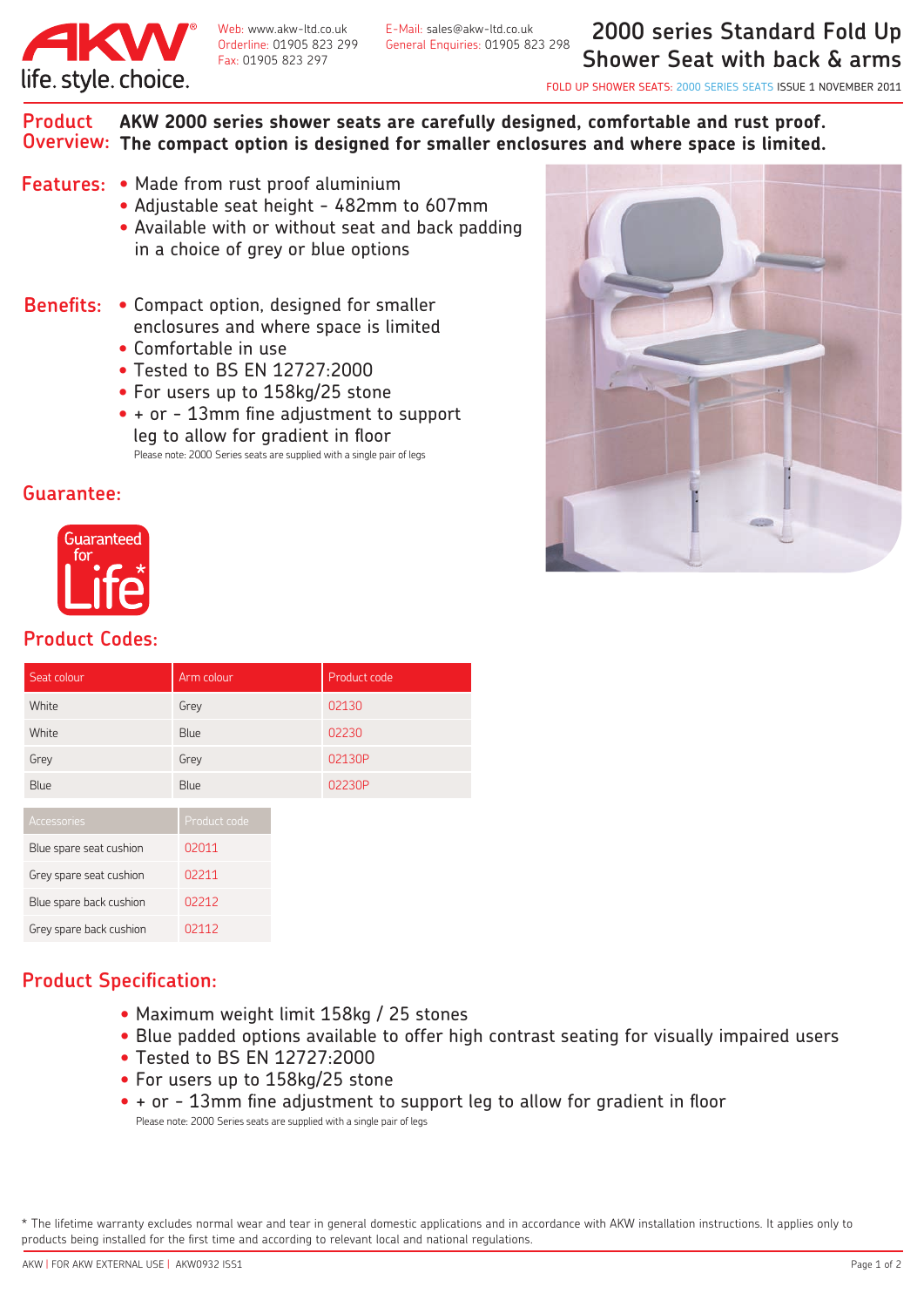

Fax: 01905 823 297

Web: www.akw-ltd.co.uk E-Mail: sales@akw-ltd.co.uk Orderline: 01905 823 299 General Enquiries: 01905 823 298

**2000 series Standard Fold Up Shower Seat with back & arms**

FOLD UP SHOWER SEATS: 2000 SERIES SEATS ISSUE 1 NOVEMBER 2011

**AKW 2000 series shower seats are carefully designed, comfortable and rust proof. The compact option is designed for smaller enclosures and where space is limited. Overview: Product** 

- **Features:** Made from rust proof aluminium
	- Adjustable seat height 482mm to 607mm
	- Available with or without seat and back padding in a choice of grey or blue options
- **Benefits:** Compact option, designed for smaller enclosures and where space is limited
	- Comfortable in use
	- Tested to BS EN 12727:2000
	- For users up to 158kg/25 stone
	- + or 13mm fine adjustment to support leg to allow for gradient in floor Please note: 2000 Series seats are supplied with a single pair of legs

## **Guarantee:**



## **Product Codes:**

| Seat colour             | Arm colour   | Product code |
|-------------------------|--------------|--------------|
| White                   | Grey         | 02130        |
| White                   | Blue         | 02230        |
| Grey                    | Grey         | 02130P       |
| <b>Blue</b>             | Blue         | 02230P       |
| <b>Accessories</b>      | Product code |              |
| Blue spare seat cushion | 02011        |              |
| Grey spare seat cushion | 02211        |              |
| Blue spare back cushion | 02212        |              |
| Grey spare back cushion | 02112        |              |

## **Product Specification:**

- Maximum weight limit 158kg / 25 stones
- Blue padded options available to offer high contrast seating for visually impaired users
- Tested to BS EN 12727:2000
- For users up to 158kg/25 stone
- + or 13mm fine adjustment to support leg to allow for gradient in floor Please note: 2000 Series seats are supplied with a single pair of legs

\* The lifetime warranty excludes normal wear and tear in general domestic applications and in accordance with AKW installation instructions. It applies only to products being installed for the first time and according to relevant local and national regulations.